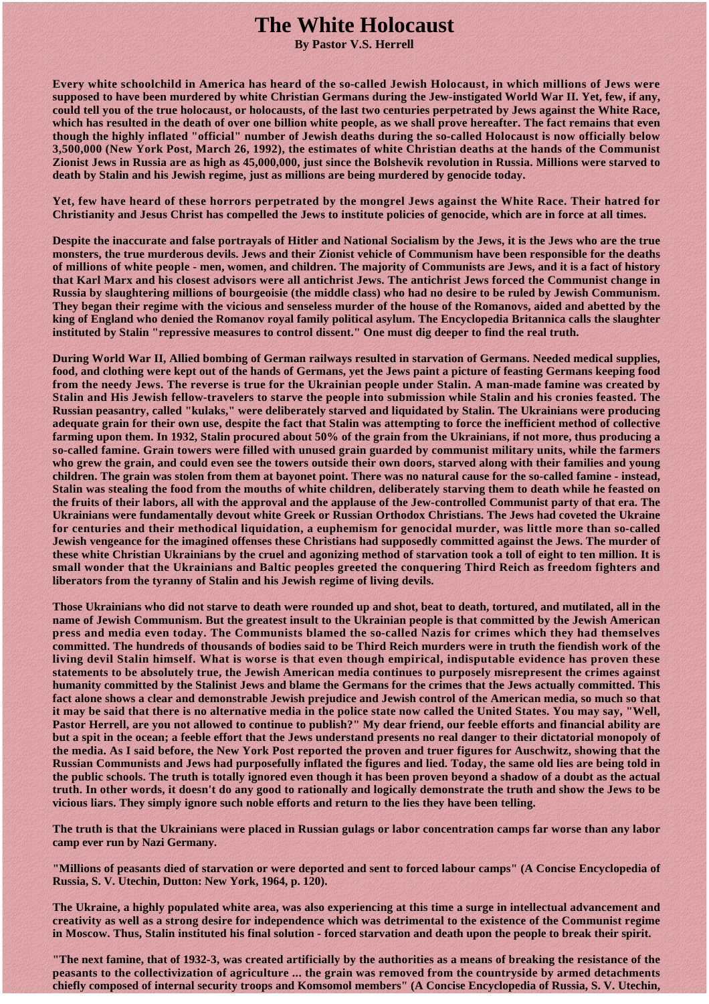## **The White Holocaust**

**By Pastor V.S. Herrell** 

**Every white schoolchild in America has heard of the so-called Jewish Holocaust, in which millions of Jews were supposed to have been murdered by white Christian Germans during the Jew-instigated World War II. Yet, few, if any, could tell you of the true holocaust, or holocausts, of the last two centuries perpetrated by Jews against the White Race, which has resulted in the death of over one billion white people, as we shall prove hereafter. The fact remains that even though the highly inflated "official" number of Jewish deaths during the so-called Holocaust is now officially below 3,500,000 (New York Post, March 26, 1992), the estimates of white Christian deaths at the hands of the Communist Zionist Jews in Russia are as high as 45,000,000, just since the Bolshevik revolution in Russia. Millions were starved to death by Stalin and his Jewish regime, just as millions are being murdered by genocide today.** 

**Yet, few have heard of these horrors perpetrated by the mongrel Jews against the White Race. Their hatred for Christianity and Jesus Christ has compelled the Jews to institute policies of genocide, which are in force at all times.** 

**Despite the inaccurate and false portrayals of Hitler and National Socialism by the Jews, it is the Jews who are the true monsters, the true murderous devils. Jews and their Zionist vehicle of Communism have been responsible for the deaths of millions of white people - men, women, and children. The majority of Communists are Jews, and it is a fact of history that Karl Marx and his closest advisors were all antichrist Jews. The antichrist Jews forced the Communist change in Russia by slaughtering millions of bourgeoisie (the middle class) who had no desire to be ruled by Jewish Communism. They began their regime with the vicious and senseless murder of the house of the Romanovs, aided and abetted by the king of England who denied the Romanov royal family political asylum. The Encyclopedia Britannica calls the slaughter instituted by Stalin "repressive measures to control dissent." One must dig deeper to find the real truth.** 

**During World War II, Allied bombing of German railways resulted in starvation of Germans. Needed medical supplies, food, and clothing were kept out of the hands of Germans, yet the Jews paint a picture of feasting Germans keeping food from the needy Jews. The reverse is true for the Ukrainian people under Stalin. A man-made famine was created by Stalin and His Jewish fellow-travelers to starve the people into submission while Stalin and his cronies feasted. The Russian peasantry, called "kulaks," were deliberately starved and liquidated by Stalin. The Ukrainians were producing adequate grain for their own use, despite the fact that Stalin was attempting to force the inefficient method of collective farming upon them. In 1932, Stalin procured about 50% of the grain from the Ukrainians, if not more, thus producing a so-called famine. Grain towers were filled with unused grain guarded by communist military units, while the farmers who grew the grain, and could even see the towers outside their own doors, starved along with their families and young children. The grain was stolen from them at bayonet point. There was no natural cause for the so-called famine - instead, Stalin was stealing the food from the mouths of white children, deliberately starving them to death while he feasted on the fruits of their labors, all with the approval and the applause of the Jew-controlled Communist party of that era. The Ukrainians were fundamentally devout white Greek or Russian Orthodox Christians. The Jews had coveted the Ukraine for centuries and their methodical liquidation, a euphemism for genocidal murder, was little more than so-called Jewish vengeance for the imagined offenses these Christians had supposedly committed against the Jews. The murder of these white Christian Ukrainians by the cruel and agonizing method of starvation took a toll of eight to ten million. It is small wonder that the Ukrainians and Baltic peoples greeted the conquering Third Reich as freedom fighters and liberators from the tyranny of Stalin and his Jewish regime of living devils.** 

**Those Ukrainians who did not starve to death were rounded up and shot, beat to death, tortured, and mutilated, all in the name of Jewish Communism. But the greatest insult to the Ukrainian people is that committed by the Jewish American press and media even today. The Communists blamed the so-called Nazis for crimes which they had themselves committed. The hundreds of thousands of bodies said to be Third Reich murders were in truth the fiendish work of the living devil Stalin himself. What is worse is that even though empirical, indisputable evidence has proven these statements to be absolutely true, the Jewish American media continues to purposely misrepresent the crimes against humanity committed by the Stalinist Jews and blame the Germans for the crimes that the Jews actually committed. This fact alone shows a clear and demonstrable Jewish prejudice and Jewish control of the American media, so much so that it may be said that there is no alternative media in the police state now called the United States. You may say, "Well, Pastor Herrell, are you not allowed to continue to publish?" My dear friend, our feeble efforts and financial ability are but a spit in the ocean; a feeble effort that the Jews understand presents no real danger to their dictatorial monopoly of the media. As I said before, the New York Post reported the proven and truer figures for Auschwitz, showing that the Russian Communists and Jews had purposefully inflated the figures and lied. Today, the same old lies are being told in the public schools. The truth is totally ignored even though it has been proven beyond a shadow of a doubt as the actual truth. In other words, it doesn't do any good to rationally and logically demonstrate the truth and show the Jews to be vicious liars. They simply ignore such noble efforts and return to the lies they have been telling.** 

**The truth is that the Ukrainians were placed in Russian gulags or labor concentration camps far worse than any labor camp ever run by Nazi Germany.** 

**"Millions of peasants died of starvation or were deported and sent to forced labour camps" (A Concise Encyclopedia of Russia, S. V. Utechin, Dutton: New York, 1964, p. 120).** 

**The Ukraine, a highly populated white area, was also experiencing at this time a surge in intellectual advancement and creativity as well as a strong desire for independence which was detrimental to the existence of the Communist regime in Moscow. Thus, Stalin instituted his final solution - forced starvation and death upon the people to break their spirit.** 

**"The next famine, that of 1932-3, was created artificially by the authorities as a means of breaking the resistance of the peasants to the collectivization of agriculture ... the grain was removed from the countryside by armed detachments chiefly composed of internal security troops and Komsomol members" (A Concise Encyclopedia of Russia, S. V. Utechin,**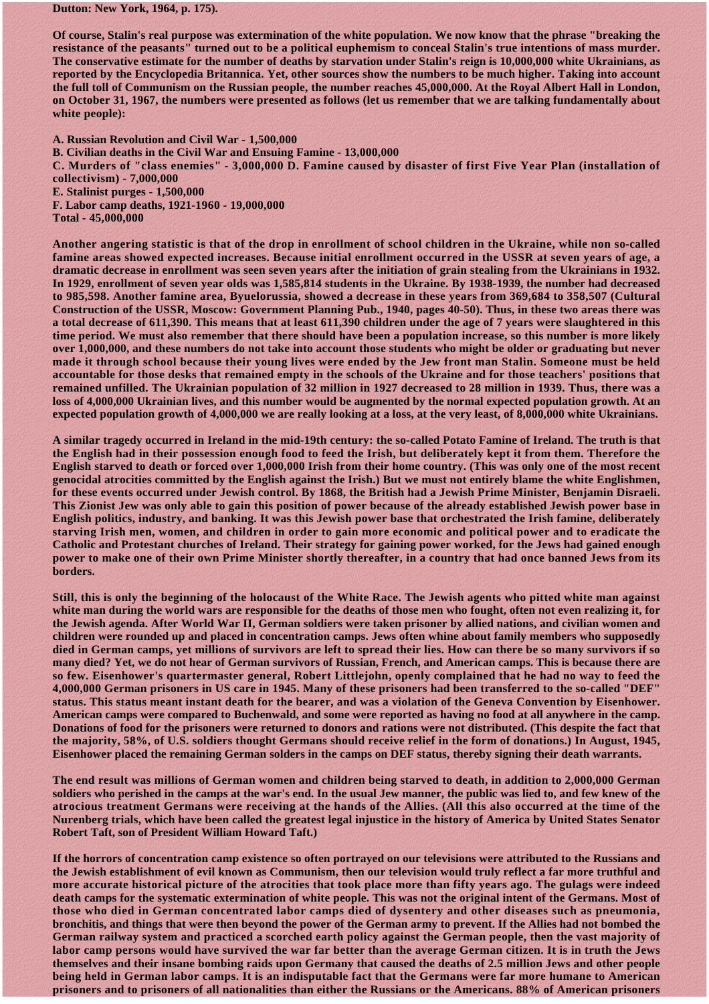**Dutton: New York, 1964, p. 175).** 

**Of course, Stalin's real purpose was extermination of the white population. We now know that the phrase "breaking the resistance of the peasants" turned out to be a political euphemism to conceal Stalin's true intentions of mass murder. The conservative estimate for the number of deaths by starvation under Stalin's reign is 10,000,000 white Ukrainians, as reported by the Encyclopedia Britannica. Yet, other sources show the numbers to be much higher. Taking into account the full toll of Communism on the Russian people, the number reaches 45,000,000. At the Royal Albert Hall in London, on October 31, 1967, the numbers were presented as follows (let us remember that we are talking fundamentally about white people):** 

**A. Russian Revolution and Civil War - 1,500,000 B. Civilian deaths in the Civil War and Ensuing Famine - 13,000,000 C. Murders of "class enemies" - 3,000,000 D. Famine caused by disaster of first Five Year Plan (installation of collectivism) - 7,000,000 E. Stalinist purges - 1,500,000 F. Labor camp deaths, 1921-1960 - 19,000,000 Total - 45,000,000** 

**Another angering statistic is that of the drop in enrollment of school children in the Ukraine, while non so-called famine areas showed expected increases. Because initial enrollment occurred in the USSR at seven years of age, a dramatic decrease in enrollment was seen seven years after the initiation of grain stealing from the Ukrainians in 1932. In 1929, enrollment of seven year olds was 1,585,814 students in the Ukraine. By 1938-1939, the number had decreased to 985,598. Another famine area, Byuelorussia, showed a decrease in these years from 369,684 to 358,507 (Cultural Construction of the USSR, Moscow: Government Planning Pub., 1940, pages 40-50). Thus, in these two areas there was a total decrease of 611,390. This means that at least 611,390 children under the age of 7 years were slaughtered in this time period. We must also remember that there should have been a population increase, so this number is more likely over 1,000,000, and these numbers do not take into account those students who might be older or graduating but never made it through school because their young lives were ended by the Jew front man Stalin. Someone must be held accountable for those desks that remained empty in the schools of the Ukraine and for those teachers' positions that remained unfilled. The Ukrainian population of 32 million in 1927 decreased to 28 million in 1939. Thus, there was a loss of 4,000,000 Ukrainian lives, and this number would be augmented by the normal expected population growth. At an expected population growth of 4,000,000 we are really looking at a loss, at the very least, of 8,000,000 white Ukrainians.** 

**A similar tragedy occurred in Ireland in the mid-19th century: the so-called Potato Famine of Ireland. The truth is that the English had in their possession enough food to feed the Irish, but deliberately kept it from them. Therefore the English starved to death or forced over 1,000,000 Irish from their home country. (This was only one of the most recent genocidal atrocities committed by the English against the Irish.) But we must not entirely blame the white Englishmen, for these events occurred under Jewish control. By 1868, the British had a Jewish Prime Minister, Benjamin Disraeli. This Zionist Jew was only able to gain this position of power because of the already established Jewish power base in English politics, industry, and banking. It was this Jewish power base that orchestrated the Irish famine, deliberately starving Irish men, women, and children in order to gain more economic and political power and to eradicate the Catholic and Protestant churches of Ireland. Their strategy for gaining power worked, for the Jews had gained enough power to make one of their own Prime Minister shortly thereafter, in a country that had once banned Jews from its borders.** 

**Still, this is only the beginning of the holocaust of the White Race. The Jewish agents who pitted white man against white man during the world wars are responsible for the deaths of those men who fought, often not even realizing it, for the Jewish agenda. After World War II, German soldiers were taken prisoner by allied nations, and civilian women and children were rounded up and placed in concentration camps. Jews often whine about family members who supposedly died in German camps, yet millions of survivors are left to spread their lies. How can there be so many survivors if so many died? Yet, we do not hear of German survivors of Russian, French, and American camps. This is because there are so few. Eisenhower's quartermaster general, Robert Littlejohn, openly complained that he had no way to feed the 4,000,000 German prisoners in US care in 1945. Many of these prisoners had been transferred to the so-called "DEF" status. This status meant instant death for the bearer, and was a violation of the Geneva Convention by Eisenhower. American camps were compared to Buchenwald, and some were reported as having no food at all anywhere in the camp. Donations of food for the prisoners were returned to donors and rations were not distributed. (This despite the fact that the majority, 58%, of U.S. soldiers thought Germans should receive relief in the form of donations.) In August, 1945, Eisenhower placed the remaining German solders in the camps on DEF status, thereby signing their death warrants.** 

**The end result was millions of German women and children being starved to death, in addition to 2,000,000 German soldiers who perished in the camps at the war's end. In the usual Jew manner, the public was lied to, and few knew of the atrocious treatment Germans were receiving at the hands of the Allies. (All this also occurred at the time of the Nurenberg trials, which have been called the greatest legal injustice in the history of America by United States Senator Robert Taft, son of President William Howard Taft.)** 

**If the horrors of concentration camp existence so often portrayed on our televisions were attributed to the Russians and the Jewish establishment of evil known as Communism, then our television would truly reflect a far more truthful and more accurate historical picture of the atrocities that took place more than fifty years ago. The gulags were indeed death camps for the systematic extermination of white people. This was not the original intent of the Germans. Most of those who died in German concentrated labor camps died of dysentery and other diseases such as pneumonia, bronchitis, and things that were then beyond the power of the German army to prevent. If the Allies had not bombed the German railway system and practiced a scorched earth policy against the German people, then the vast majority of labor camp persons would have survived the war far better than the average German citizen. It is in truth the Jews themselves and their insane bombing raids upon Germany that caused the deaths of 2.5 million Jews and other people being held in German labor camps. It is an indisputable fact that the Germans were far more humane to American prisoners and to prisoners of all nationalities than either the Russians or the Americans. 88% of American prisoners**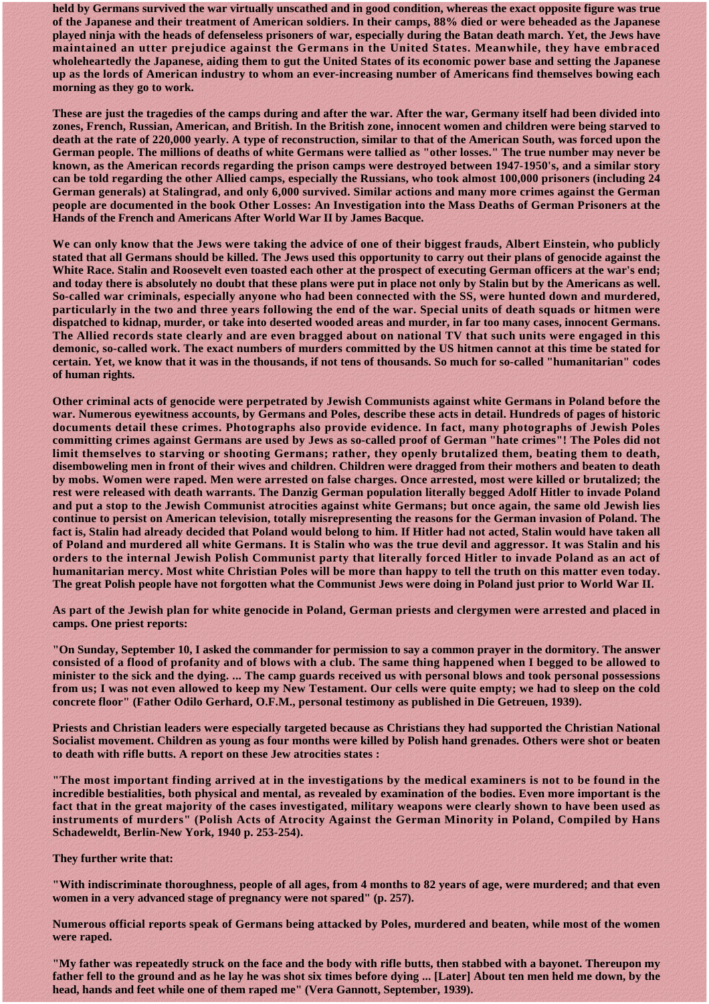**held by Germans survived the war virtually unscathed and in good condition, whereas the exact opposite figure was true of the Japanese and their treatment of American soldiers. In their camps, 88% died or were beheaded as the Japanese played ninja with the heads of defenseless prisoners of war, especially during the Batan death march. Yet, the Jews have maintained an utter prejudice against the Germans in the United States. Meanwhile, they have embraced wholeheartedly the Japanese, aiding them to gut the United States of its economic power base and setting the Japanese up as the lords of American industry to whom an ever-increasing number of Americans find themselves bowing each morning as they go to work.** 

**These are just the tragedies of the camps during and after the war. After the war, Germany itself had been divided into zones, French, Russian, American, and British. In the British zone, innocent women and children were being starved to death at the rate of 220,000 yearly. A type of reconstruction, similar to that of the American South, was forced upon the German people. The millions of deaths of white Germans were tallied as "other losses." The true number may never be known, as the American records regarding the prison camps were destroyed between 1947-1950's, and a similar story can be told regarding the other Allied camps, especially the Russians, who took almost 100,000 prisoners (including 24 German generals) at Stalingrad, and only 6,000 survived. Similar actions and many more crimes against the German people are documented in the book Other Losses: An Investigation into the Mass Deaths of German Prisoners at the Hands of the French and Americans After World War II by James Bacque.** 

**We can only know that the Jews were taking the advice of one of their biggest frauds, Albert Einstein, who publicly stated that all Germans should be killed. The Jews used this opportunity to carry out their plans of genocide against the White Race. Stalin and Roosevelt even toasted each other at the prospect of executing German officers at the war's end; and today there is absolutely no doubt that these plans were put in place not only by Stalin but by the Americans as well. So-called war criminals, especially anyone who had been connected with the SS, were hunted down and murdered, particularly in the two and three years following the end of the war. Special units of death squads or hitmen were dispatched to kidnap, murder, or take into deserted wooded areas and murder, in far too many cases, innocent Germans. The Allied records state clearly and are even bragged about on national TV that such units were engaged in this demonic, so-called work. The exact numbers of murders committed by the US hitmen cannot at this time be stated for certain. Yet, we know that it was in the thousands, if not tens of thousands. So much for so-called "humanitarian" codes of human rights.** 

**Other criminal acts of genocide were perpetrated by Jewish Communists against white Germans in Poland before the war. Numerous eyewitness accounts, by Germans and Poles, describe these acts in detail. Hundreds of pages of historic documents detail these crimes. Photographs also provide evidence. In fact, many photographs of Jewish Poles committing crimes against Germans are used by Jews as so-called proof of German "hate crimes"! The Poles did not limit themselves to starving or shooting Germans; rather, they openly brutalized them, beating them to death, disemboweling men in front of their wives and children. Children were dragged from their mothers and beaten to death by mobs. Women were raped. Men were arrested on false charges. Once arrested, most were killed or brutalized; the rest were released with death warrants. The Danzig German population literally begged Adolf Hitler to invade Poland and put a stop to the Jewish Communist atrocities against white Germans; but once again, the same old Jewish lies continue to persist on American television, totally misrepresenting the reasons for the German invasion of Poland. The fact is, Stalin had already decided that Poland would belong to him. If Hitler had not acted, Stalin would have taken all of Poland and murdered all white Germans. It is Stalin who was the true devil and aggressor. It was Stalin and his orders to the internal Jewish Polish Communist party that literally forced Hitler to invade Poland as an act of humanitarian mercy. Most white Christian Poles will be more than happy to tell the truth on this matter even today. The great Polish people have not forgotten what the Communist Jews were doing in Poland just prior to World War II.** 

**As part of the Jewish plan for white genocide in Poland, German priests and clergymen were arrested and placed in camps. One priest reports:** 

**"On Sunday, September 10, I asked the commander for permission to say a common prayer in the dormitory. The answer consisted of a flood of profanity and of blows with a club. The same thing happened when I begged to be allowed to minister to the sick and the dying. ... The camp guards received us with personal blows and took personal possessions from us; I was not even allowed to keep my New Testament. Our cells were quite empty; we had to sleep on the cold concrete floor" (Father Odilo Gerhard, O.F.M., personal testimony as published in Die Getreuen, 1939).** 

**Priests and Christian leaders were especially targeted because as Christians they had supported the Christian National Socialist movement. Children as young as four months were killed by Polish hand grenades. Others were shot or beaten to death with rifle butts. A report on these Jew atrocities states :** 

**"The most important finding arrived at in the investigations by the medical examiners is not to be found in the incredible bestialities, both physical and mental, as revealed by examination of the bodies. Even more important is the fact that in the great majority of the cases investigated, military weapons were clearly shown to have been used as instruments of murders" (Polish Acts of Atrocity Against the German Minority in Poland, Compiled by Hans Schadeweldt, Berlin-New York, 1940 p. 253-254).** 

**They further write that:** 

**"With indiscriminate thoroughness, people of all ages, from 4 months to 82 years of age, were murdered; and that even women in a very advanced stage of pregnancy were not spared" (p. 257).** 

**Numerous official reports speak of Germans being attacked by Poles, murdered and beaten, while most of the women were raped.** 

**"My father was repeatedly struck on the face and the body with rifle butts, then stabbed with a bayonet. Thereupon my father fell to the ground and as he lay he was shot six times before dying ... [Later] About ten men held me down, by the head, hands and feet while one of them raped me" (Vera Gannott, September, 1939).**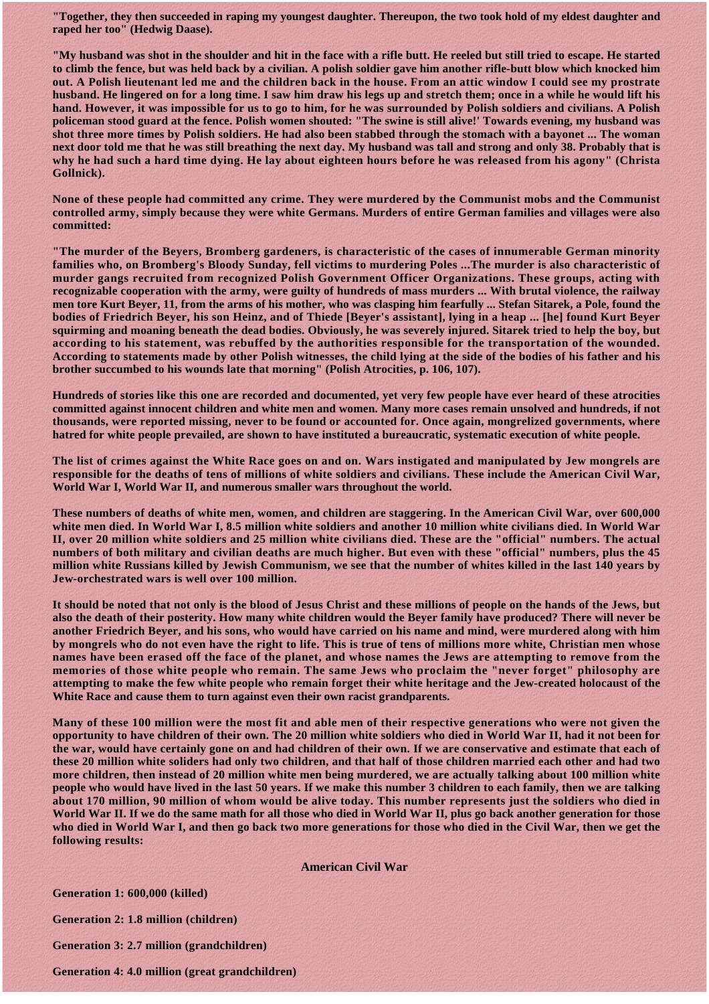**"Together, they then succeeded in raping my youngest daughter. Thereupon, the two took hold of my eldest daughter and raped her too" (Hedwig Daase).** 

**"My husband was shot in the shoulder and hit in the face with a rifle butt. He reeled but still tried to escape. He started to climb the fence, but was held back by a civilian. A polish soldier gave him another rifle-butt blow which knocked him out. A Polish lieutenant led me and the children back in the house. From an attic window I could see my prostrate husband. He lingered on for a long time. I saw him draw his legs up and stretch them; once in a while he would lift his hand. However, it was impossible for us to go to him, for he was surrounded by Polish soldiers and civilians. A Polish policeman stood guard at the fence. Polish women shouted: "The swine is still alive!' Towards evening, my husband was shot three more times by Polish soldiers. He had also been stabbed through the stomach with a bayonet ... The woman next door told me that he was still breathing the next day. My husband was tall and strong and only 38. Probably that is why he had such a hard time dying. He lay about eighteen hours before he was released from his agony" (Christa Gollnick).** 

**None of these people had committed any crime. They were murdered by the Communist mobs and the Communist controlled army, simply because they were white Germans. Murders of entire German families and villages were also committed:** 

**"The murder of the Beyers, Bromberg gardeners, is characteristic of the cases of innumerable German minority families who, on Bromberg's Bloody Sunday, fell victims to murdering Poles ...The murder is also characteristic of murder gangs recruited from recognized Polish Government Officer Organizations. These groups, acting with recognizable cooperation with the army, were guilty of hundreds of mass murders ... With brutal violence, the railway men tore Kurt Beyer, 11, from the arms of his mother, who was clasping him fearfully ... Stefan Sitarek, a Pole, found the bodies of Friedrich Beyer, his son Heinz, and of Thiede [Beyer's assistant], lying in a heap ... [he] found Kurt Beyer squirming and moaning beneath the dead bodies. Obviously, he was severely injured. Sitarek tried to help the boy, but according to his statement, was rebuffed by the authorities responsible for the transportation of the wounded. According to statements made by other Polish witnesses, the child lying at the side of the bodies of his father and his brother succumbed to his wounds late that morning" (Polish Atrocities, p. 106, 107).** 

**Hundreds of stories like this one are recorded and documented, yet very few people have ever heard of these atrocities committed against innocent children and white men and women. Many more cases remain unsolved and hundreds, if not thousands, were reported missing, never to be found or accounted for. Once again, mongrelized governments, where hatred for white people prevailed, are shown to have instituted a bureaucratic, systematic execution of white people.** 

**The list of crimes against the White Race goes on and on. Wars instigated and manipulated by Jew mongrels are responsible for the deaths of tens of millions of white soldiers and civilians. These include the American Civil War, World War I, World War II, and numerous smaller wars throughout the world.** 

**These numbers of deaths of white men, women, and children are staggering. In the American Civil War, over 600,000 white men died. In World War I, 8.5 million white soldiers and another 10 million white civilians died. In World War II, over 20 million white soldiers and 25 million white civilians died. These are the "official" numbers. The actual numbers of both military and civilian deaths are much higher. But even with these "official" numbers, plus the 45 million white Russians killed by Jewish Communism, we see that the number of whites killed in the last 140 years by Jew-orchestrated wars is well over 100 million.** 

**It should be noted that not only is the blood of Jesus Christ and these millions of people on the hands of the Jews, but also the death of their posterity. How many white children would the Beyer family have produced? There will never be another Friedrich Beyer, and his sons, who would have carried on his name and mind, were murdered along with him by mongrels who do not even have the right to life. This is true of tens of millions more white, Christian men whose names have been erased off the face of the planet, and whose names the Jews are attempting to remove from the memories of those white people who remain. The same Jews who proclaim the "never forget" philosophy are attempting to make the few white people who remain forget their white heritage and the Jew-created holocaust of the White Race and cause them to turn against even their own racist grandparents.** 

**Many of these 100 million were the most fit and able men of their respective generations who were not given the opportunity to have children of their own. The 20 million white soldiers who died in World War II, had it not been for the war, would have certainly gone on and had children of their own. If we are conservative and estimate that each of these 20 million white soliders had only two children, and that half of those children married each other and had two more children, then instead of 20 million white men being murdered, we are actually talking about 100 million white people who would have lived in the last 50 years. If we make this number 3 children to each family, then we are talking about 170 million, 90 million of whom would be alive today. This number represents just the soldiers who died in World War II. If we do the same math for all those who died in World War II, plus go back another generation for those who died in World War I, and then go back two more generations for those who died in the Civil War, then we get the following results:** 

**American Civil War** 

**Generation 1: 600,000 (killed)** 

**Generation 2: 1.8 million (children)** 

**Generation 3: 2.7 million (grandchildren)** 

**Generation 4: 4.0 million (great grandchildren)**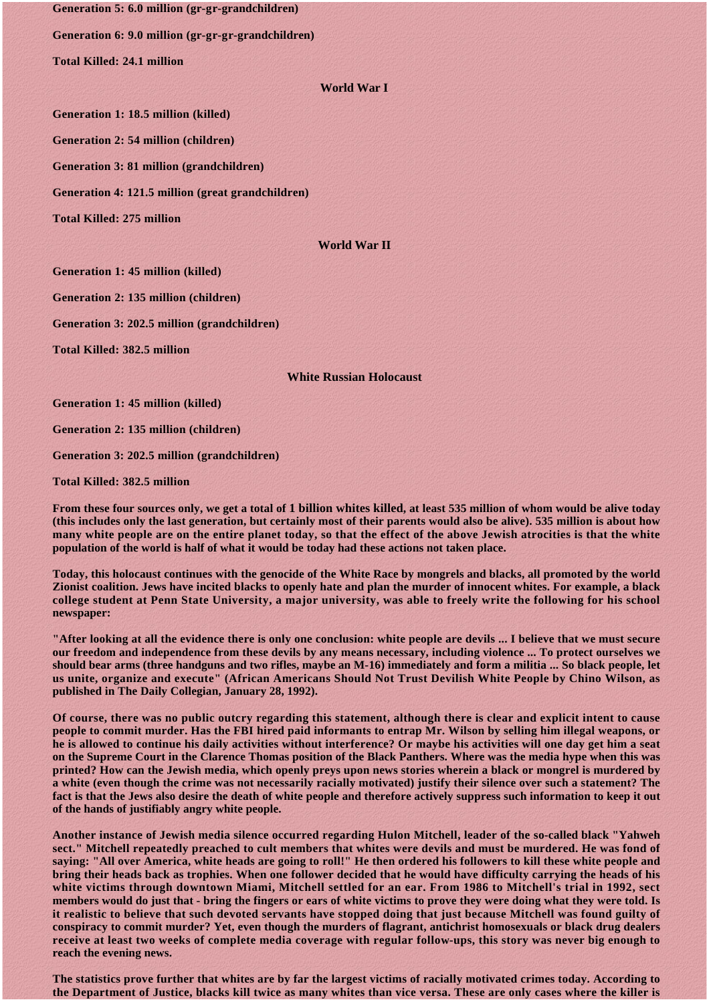**Generation 5: 6.0 million (gr-gr-grandchildren)** 

**Generation 6: 9.0 million (gr-gr-gr-grandchildren)** 

**Total Killed: 24.1 million** 

## **World War I**

**Generation 1: 18.5 million (killed)** 

**Generation 2: 54 million (children)** 

**Generation 3: 81 million (grandchildren)** 

**Generation 4: 121.5 million (great grandchildren)** 

**Total Killed: 275 million** 

## **World War II**

**Generation 1: 45 million (killed)** 

**Generation 2: 135 million (children)** 

**Generation 3: 202.5 million (grandchildren)** 

**Total Killed: 382.5 million** 

## **White Russian Holocaust**

**Generation 1: 45 million (killed)** 

**Generation 2: 135 million (children)** 

**Generation 3: 202.5 million (grandchildren)** 

**Total Killed: 382.5 million** 

**From these four sources only, we get a total of 1 billion whites killed, at least 535 million of whom would be alive today (this includes only the last generation, but certainly most of their parents would also be alive). 535 million is about how many white people are on the entire planet today, so that the effect of the above Jewish atrocities is that the white population of the world is half of what it would be today had these actions not taken place.** 

**Today, this holocaust continues with the genocide of the White Race by mongrels and blacks, all promoted by the world Zionist coalition. Jews have incited blacks to openly hate and plan the murder of innocent whites. For example, a black college student at Penn State University, a major university, was able to freely write the following for his school newspaper:** 

**"After looking at all the evidence there is only one conclusion: white people are devils ... I believe that we must secure our freedom and independence from these devils by any means necessary, including violence ... To protect ourselves we should bear arms (three handguns and two rifles, maybe an M-16) immediately and form a militia ... So black people, let us unite, organize and execute" (African Americans Should Not Trust Devilish White People by Chino Wilson, as published in The Daily Collegian, January 28, 1992).** 

**Of course, there was no public outcry regarding this statement, although there is clear and explicit intent to cause people to commit murder. Has the FBI hired paid informants to entrap Mr. Wilson by selling him illegal weapons, or he is allowed to continue his daily activities without interference? Or maybe his activities will one day get him a seat on the Supreme Court in the Clarence Thomas position of the Black Panthers. Where was the media hype when this was printed? How can the Jewish media, which openly preys upon news stories wherein a black or mongrel is murdered by a white (even though the crime was not necessarily racially motivated) justify their silence over such a statement? The fact is that the Jews also desire the death of white people and therefore actively suppress such information to keep it out of the hands of justifiably angry white people.** 

**Another instance of Jewish media silence occurred regarding Hulon Mitchell, leader of the so-called black "Yahweh sect." Mitchell repeatedly preached to cult members that whites were devils and must be murdered. He was fond of saying: "All over America, white heads are going to roll!" He then ordered his followers to kill these white people and bring their heads back as trophies. When one follower decided that he would have difficulty carrying the heads of his white victims through downtown Miami, Mitchell settled for an ear. From 1986 to Mitchell's trial in 1992, sect members would do just that - bring the fingers or ears of white victims to prove they were doing what they were told. Is it realistic to believe that such devoted servants have stopped doing that just because Mitchell was found guilty of conspiracy to commit murder? Yet, even though the murders of flagrant, antichrist homosexuals or black drug dealers receive at least two weeks of complete media coverage with regular follow-ups, this story was never big enough to reach the evening news.** 

**The statistics prove further that whites are by far the largest victims of racially motivated crimes today. According to the Department of Justice, blacks kill twice as many whites than vice versa. These are only cases where the killer is**